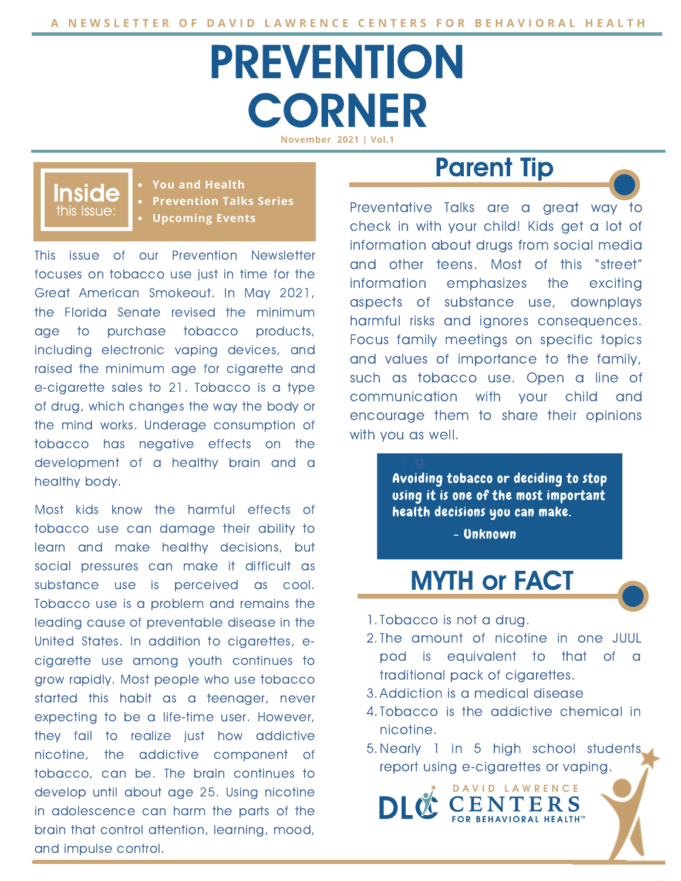# **PREVENTION CORNER**

**November 2021 | Vol.1**

#### this Issue: Inside

**You and Health Prevention Talks Series Upcoming Events**

This issue of our Prevention Newsletter focuses on tobacco use just in time for the Great American Smokeout. In May 2021, the Florida Senate revised the minimum age to purchase tobacco products, including electronic vaping devices, and raised the minimum age for cigarette and e-cigarette sales to 21. Tobacco is a type of drug, which changes the way the body or the mind works. Underage consumption of tobacco has negative effects on the development of a healthy brain and a healthy body.

Most kids know the harmful effects of tobacco use can damage their ability to learn and make healthy decisions, but social pressures can make it difficult as substance use is perceived as cool. Tobacco use is a problem and remains the leading cause of preventable disease in the United States. In addition to cigarettes, ecigarette use among youth continues to grow rapidly. Most people who use tobacco started this habit as a teenager, never expecting to be a life-time user. However, they fail to realize just how addictive nicotine, the addictive component of tobacco, can be. The brain continues to develop until about age 25. Using nicotine in adolescence can harm the parts of the brain that control attention, learning, mood, and impulse control.

## Parent Tip

Preventative Talks are a great way to check in with your child! Kids get a lot of information about drugs from social media and other teens. Most of this "street" information emphasizes the exciting aspects of substance use, downplays harmful risks and ignores consequences. Focus family meetings on specific topics and values of importance to the family, such as tobacco use. Open a line of communication with your child and encourage them to share their opinions with you as well.

> using it is one of the most important<br>health decisions you can make. Avoiding tobacco or deciding to stop using it is one of the most important

> > - Unknown

## MYTH or FACT

- 1. Tobacco is not a drug.
- 2. The amount of nicotine in one JUUL pod is equivalent to that of a traditional pack of cigarettes.
- Addiction is a medical disease 3.
- 4. Tobacco is the addictive chemical in nicotine.
- 5. Nearly 1 in 5 high school students report using e-cigarettes or vaping.

DAVID LAWRENCE

FOR BEHAVIORAL HEALTH"